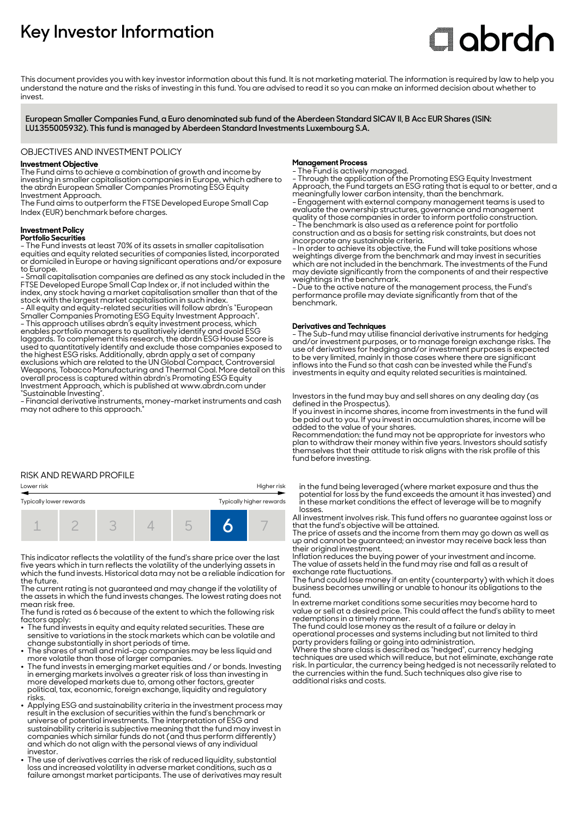# **Key Investor Information**

# **Clobrdn**

This document provides you with key investor information about this fund. It is not marketing material. The information is required by law to help you understand the nature and the risks of investing in this fund. You are advised to read it so you can make an informed decision about whether to invest

**European Smaller Companies Fund, a Euro denominated sub fund of the Aberdeen Standard SICAV II, B Acc EUR Shares (ISIN: LU1355005932). This fund is managed by Aberdeen Standard Investments Luxembourg S.A.**

## OBJECTIVES AND INVESTMENT POLICY

# **Investment Objective**

The Fund aims to achieve a combination of growth and income by investing in smaller capitalisation companies in Europe, which adhere to the abrdn European Smaller Companies Promoting ESG Equity Investment Approach.

The Fund aims to outperform the FTSE Developed Europe Small Cap Index (EUR) benchmark before charges.

# **Investment Policy**

#### **Portfolio Securities**

- The Fund invests at least 70% of its assets in smaller capitalisation equities and equity related securities of companies listed, incorporated or domiciled in Europe or having significant operations and/or exposure to Europe.

- Small capitalisation companies are defined as any stock included in the FTSE Developed Europe Small Cap Index or, if not included within the index, any stock having a market capitalisation smaller than that of the stock with the largest market capitalisation in such index.

- All equity and equity-related securities will follow abrdn's "European Smaller Companies Promoting ESG Equity Investment Approach". - This approach utilises abrdn's equity investment process, which

enables portfolio managers to qualitatively identify and avoid ESG laggards. To complement this research, the abrdn ESG House Score is used to quantitatively identify and exclude those companies exposed to the highest ESG risks. Additionally, abrdn apply a set of company exclusions which are related to the UN Global Compact, Controversial Weapons, Tobacco Manufacturing and Thermal Coal. More detail on this overall process is captured within abrdn's Promoting ESG Equity Investment Approach, which is published at www.abrdn.com under "Sustainable Investing".

- Financial derivative instruments, money-market instruments and cash may not adhere to this approach.

# **Management Process**

- The Fund is actively managed. - Through the application of the Promoting ESG Equity Investment Approach, the Fund targets an ESG rating that is equal to or better, and a meaningfully lower carbon intensity, than the benchmark.

- Engagement with external company management teams is used to evaluate the ownership structures, governance and management quality of those companies in order to inform portfolio construction. - The benchmark is also used as a reference point for portfolio construction and as a basis for setting risk constraints, but does not

incorporate any sustainable criteria. - In order to achieve its objective, the Fund will take positions whose weightings diverge from the benchmark and may invest in securities which are not included in the benchmark. The investments of the Fund may deviate significantly from the components of and their respective weightings in the benchmark.

- Due to the active nature of the management process, the Fund's performance profile may deviate significantly from that of the benchmark.

## **Derivatives and Techniques**

- The Sub-fund may utilise financial derivative instruments for hedging and/or investment purposes, or to manage foreign exchange risks. The use of derivatives for hedging and/or investment purposes is expected to be very limited, mainly in those cases where there are significant inflows into the Fund so that cash can be invested while the Fund's investments in equity and equity related securities is maintained.

Investors in the fund may buy and sell shares on any dealing day (as defined in the Prospectus).

If you invest in income shares, income from investments in the fund will be paid out to you. If you invest in accumulation shares, income will be added to the value of your shares.

Recommendation: the fund may not be appropriate for investors who plan to withdraw their money within five years. Investors should satisfy themselves that their attitude to risk aligns with the risk profile of this fund before investing.

# RISK AND REWARD PROFILE

# Lower risk Higher risk Typically lower rewards Typically higher rewards 1 2 3 4 5 **6** 7

This indicator reflects the volatility of the fund's share price over the last five years which in turn reflects the volatility of the underlying assets in which the fund invests. Historical data may not be a reliable indication for the future.

The current rating is not guaranteed and may change if the volatility of the assets in which the fund invests changes. The lowest rating does not mean risk free.

The fund is rated as 6 because of the extent to which the following risk factors apply: 2 The fund invests in equity and equity related securities. These are

- sensitive to variations in the stock markets which can be volatile and change substantially in short periods of time.
- The shares of small and mid-cap companies may be less liquid and more volatile than those of larger companies.
- The fund invests in emerging market equities and / or bonds. Investing in emerging markets involves a greater risk of loss than investing in more developed markets due to, among other factors, greater political, tax, economic, foreign exchange, liquidity and regulatory risks.
- Applying ESG and sustainability criteria in the investment process may result in the exclusion of securities within the fund's benchmark or universe of potential investments. The interpretation of ESG and sustainability criteria is subjective meaning that the fund may invest in companies which similar funds do not (and thus perform differently) and which do not align with the personal views of any individual investor.
- The use of derivatives carries the risk of reduced liquidity, substantial loss and increased volatility in adverse market conditions, such as a failure amongst market participants. The use of derivatives may result

in the fund being leveraged (where market exposure and thus the potential for loss by the fund exceeds the amount it has invested) and in these market conditions the effect of leverage will be to magnify losses.

All investment involves risk. This fund offers no guarantee against loss or that the fund's objective will be attained.

The price of assets and the income from them may go down as well as up and cannot be guaranteed; an investor may receive back less than their original investment.

Inflation reduces the buying power of your investment and income. The value of assets held in the fund may rise and fall as a result of exchange rate fluctuations.

The fund could lose money if an entity (counterparty) with which it does business becomes unwilling or unable to honour its obligations to the fund.

In extreme market conditions some securities may become hard to value or sell at a desired price. This could affect the fund's ability to meet redemptions in a timely manner.

The fund could lose money as the result of a failure or delay in operational processes and systems including but not limited to third party providers failing or going into administration.

Where the share class is described as "hedged", currency hedging techniques are used which will reduce, but not eliminate, exchange rate risk. In particular, the currency being hedged is not necessarily related to the currencies within the fund. Such techniques also give rise to additional risks and costs.